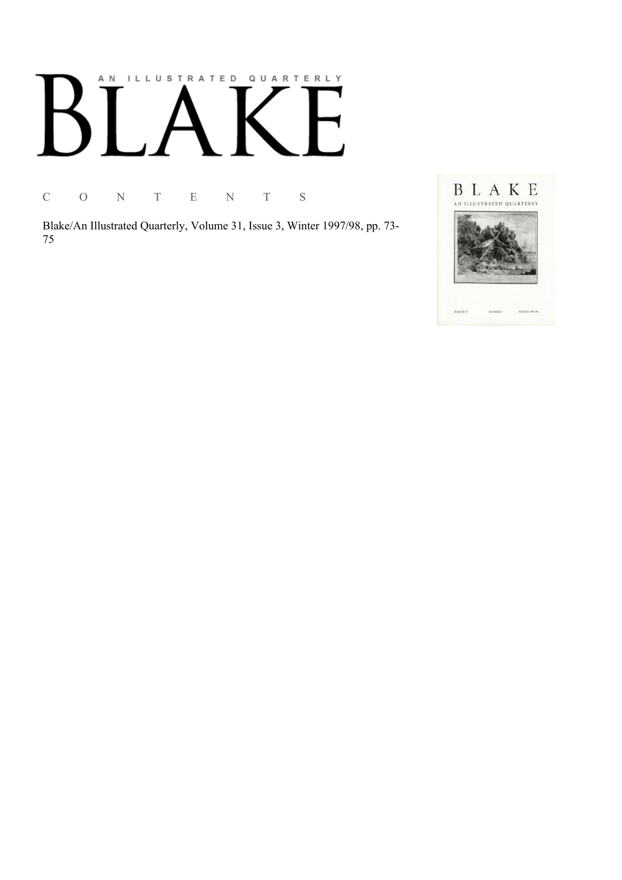## AN ILLUSTRATED QUARTERLY

C O N T E N T S

Blake/An Illustrated Quarterly, Volume 31, Issue 3, Winter 1997/98, pp. 73-75

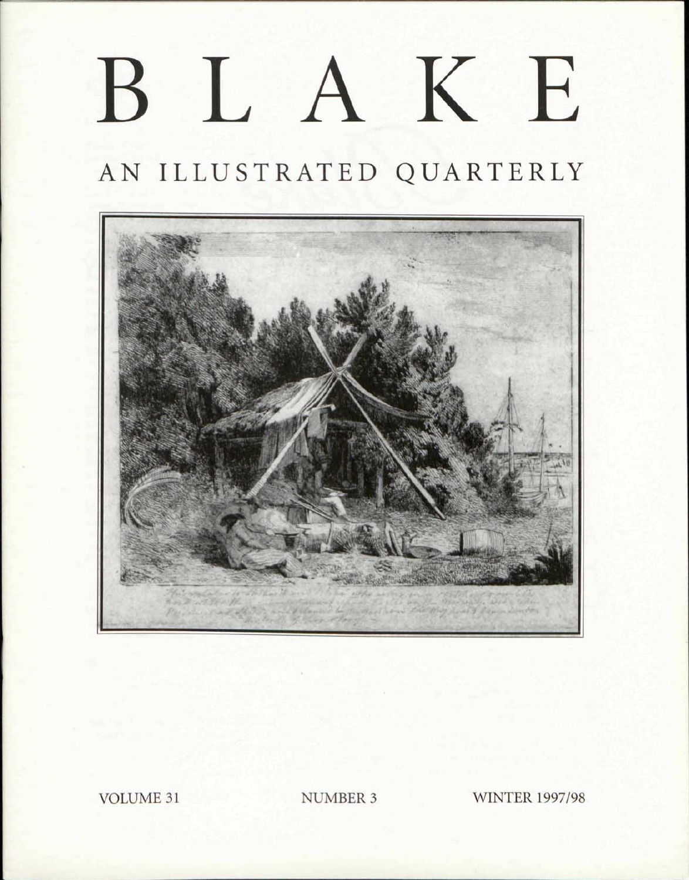# BLAKE

AN ILLUSTRATED QUARTERLY



VOLUME 31 NUMBER 3 WINTER 1997/98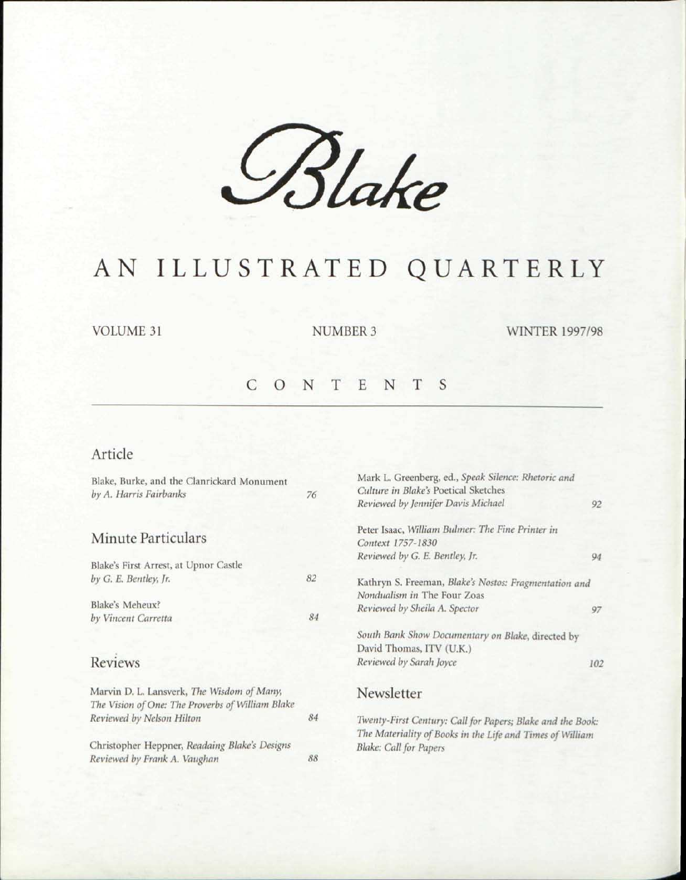*£%Ue* 

## AN ILLUSTRATED QUARTERLY

VOLUME 31 NUMBER 3 WINTER 1997/98

## CONTENT S

### Article

*Reviewed by Frank A. Vaughan 88* 

| Blake, Burke, and the Clanrickard Monument       |    | Mark L. Greenberg, ed., Speak Silence: Rhetoric and              |     |
|--------------------------------------------------|----|------------------------------------------------------------------|-----|
| by A. Harris Fairbanks                           | 76 | Culture in Blake's Poetical Sketches                             |     |
|                                                  |    | Reviewed by Jennifer Davis Michael                               | 92  |
|                                                  |    | Peter Isaac, William Bulmer: The Fine Printer in                 |     |
| Minute Particulars                               |    | Context 1757-1830                                                |     |
|                                                  |    | Reviewed by G. E. Bentley, Jr.                                   | 94  |
| Blake's First Arrest, at Upnor Castle            |    |                                                                  |     |
| by G. E. Bentley, Jr.                            | 82 | Kathryn S. Freeman, Blake's Nostos: Fragmentation and            |     |
|                                                  |    | Nondualism in The Four Zoas                                      |     |
| Blake's Meheux?                                  |    | Reviewed by Sheila A. Spector                                    | 97  |
| by Vincent Carretta                              | 84 |                                                                  |     |
|                                                  |    | South Bank Show Documentary on Blake, directed by                |     |
|                                                  |    | David Thomas, ITV (U.K.)                                         |     |
| <b>Reviews</b>                                   |    | Reviewed by Sarah Joyce                                          | 102 |
| Marvin D. L. Lansverk, The Wisdom of Many,       |    | Newsletter                                                       |     |
| The Vision of One: The Proverbs of William Blake |    |                                                                  |     |
| Reviewed by Nelson Hilton                        |    | 84<br>Twenty-First Century: Call for Papers; Blake and the Book: |     |
|                                                  |    | The Materiality of Books in the Life and Times of William        |     |
| Christopher Heppner, Readaing Blake's Designs    |    | <b>Blake: Call for Papers</b>                                    |     |
|                                                  |    |                                                                  |     |